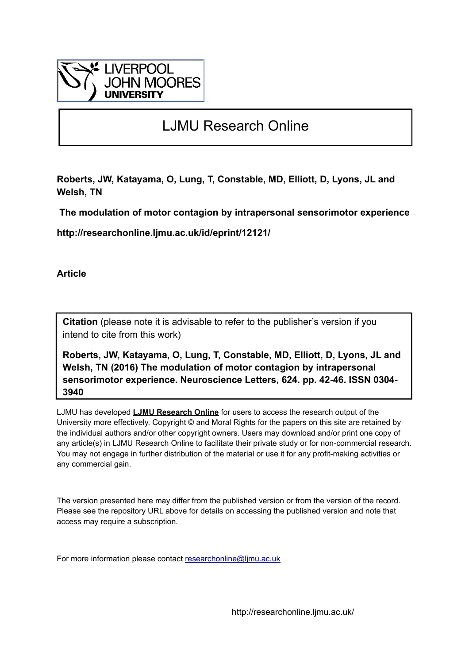

# LJMU Research Online

**Roberts, JW, Katayama, O, Lung, T, Constable, MD, Elliott, D, Lyons, JL and Welsh, TN**

 **The modulation of motor contagion by intrapersonal sensorimotor experience**

**http://researchonline.ljmu.ac.uk/id/eprint/12121/**

**Article**

**Citation** (please note it is advisable to refer to the publisher's version if you intend to cite from this work)

**Roberts, JW, Katayama, O, Lung, T, Constable, MD, Elliott, D, Lyons, JL and Welsh, TN (2016) The modulation of motor contagion by intrapersonal sensorimotor experience. Neuroscience Letters, 624. pp. 42-46. ISSN 0304- 3940** 

LJMU has developed **[LJMU Research Online](http://researchonline.ljmu.ac.uk/)** for users to access the research output of the University more effectively. Copyright © and Moral Rights for the papers on this site are retained by the individual authors and/or other copyright owners. Users may download and/or print one copy of any article(s) in LJMU Research Online to facilitate their private study or for non-commercial research. You may not engage in further distribution of the material or use it for any profit-making activities or any commercial gain.

The version presented here may differ from the published version or from the version of the record. Please see the repository URL above for details on accessing the published version and note that access may require a subscription.

For more information please contact [researchonline@ljmu.ac.uk](mailto:researchonline@ljmu.ac.uk)

http://researchonline.ljmu.ac.uk/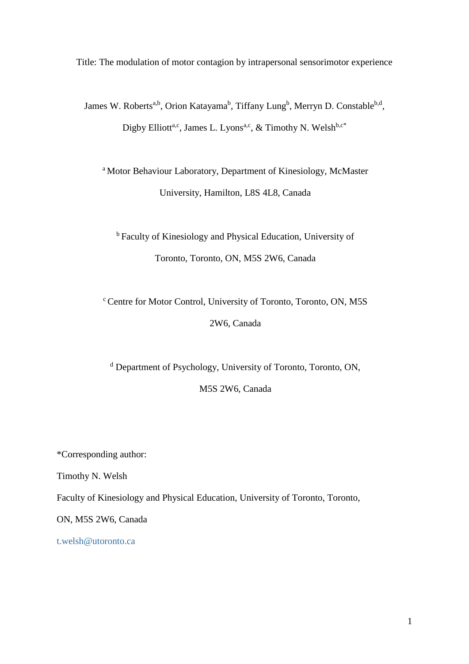Title: The modulation of motor contagion by intrapersonal sensorimotor experience

James W. Roberts<sup>a,b</sup>, Orion Katayama<sup>b</sup>, Tiffany Lung<sup>b</sup>, Merryn D. Constable<sup>b,d</sup>, Digby Elliott<sup>a,c</sup>, James L. Lyons<sup>a,c</sup>, & Timothy N. Welsh<sup>b,c\*</sup>

<sup>a</sup> Motor Behaviour Laboratory, Department of Kinesiology, McMaster University, Hamilton, L8S 4L8, Canada

<sup>b</sup> Faculty of Kinesiology and Physical Education, University of Toronto, Toronto, ON, M5S 2W6, Canada

<sup>c</sup> Centre for Motor Control, University of Toronto, Toronto, ON, M5S 2W6, Canada

<sup>d</sup> Department of Psychology, University of Toronto, Toronto, ON,

M5S 2W6, Canada

\*Corresponding author:

Timothy N. Welsh

Faculty of Kinesiology and Physical Education, University of Toronto, Toronto,

ON, M5S 2W6, Canada

[t.welsh@utoronto.ca](mailto:t.welsh@utoronto.ca)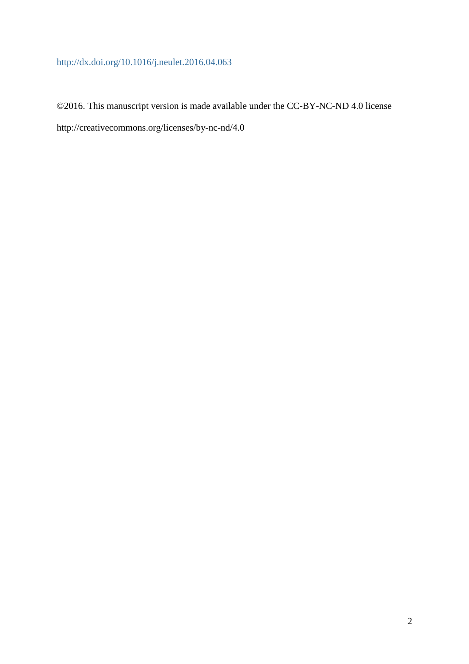# <http://dx.doi.org/10.1016/j.neulet.2016.04.063>

©2016. This manuscript version is made available under the CC-BY-NC-ND 4.0 license http://creativecommons.org/licenses/by-nc-nd/4.0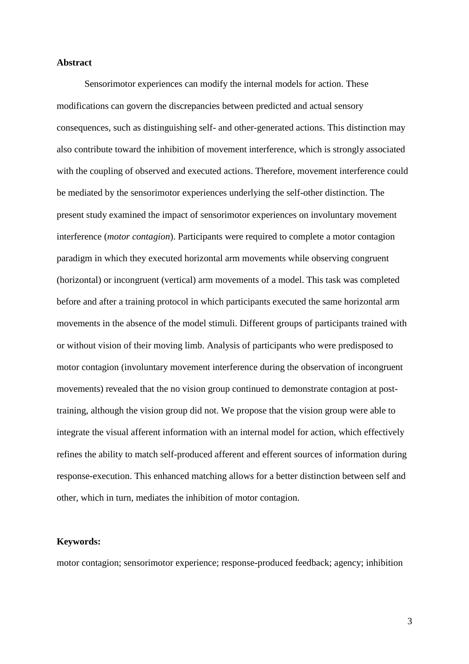### **Abstract**

Sensorimotor experiences can modify the internal models for action. These modifications can govern the discrepancies between predicted and actual sensory consequences, such as distinguishing self- and other-generated actions. This distinction may also contribute toward the inhibition of movement interference, which is strongly associated with the coupling of observed and executed actions. Therefore, movement interference could be mediated by the sensorimotor experiences underlying the self-other distinction. The present study examined the impact of sensorimotor experiences on involuntary movement interference (*motor contagion*). Participants were required to complete a motor contagion paradigm in which they executed horizontal arm movements while observing congruent (horizontal) or incongruent (vertical) arm movements of a model. This task was completed before and after a training protocol in which participants executed the same horizontal arm movements in the absence of the model stimuli. Different groups of participants trained with or without vision of their moving limb. Analysis of participants who were predisposed to motor contagion (involuntary movement interference during the observation of incongruent movements) revealed that the no vision group continued to demonstrate contagion at posttraining, although the vision group did not. We propose that the vision group were able to integrate the visual afferent information with an internal model for action, which effectively refines the ability to match self-produced afferent and efferent sources of information during response-execution. This enhanced matching allows for a better distinction between self and other, which in turn, mediates the inhibition of motor contagion.

### **Keywords:**

motor contagion; sensorimotor experience; response-produced feedback; agency; inhibition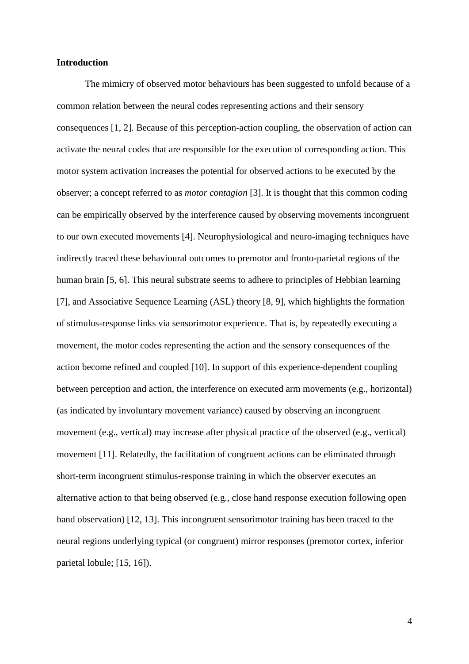#### **Introduction**

The mimicry of observed motor behaviours has been suggested to unfold because of a common relation between the neural codes representing actions and their sensory consequences [1, 2]. Because of this perception-action coupling, the observation of action can activate the neural codes that are responsible for the execution of corresponding action. This motor system activation increases the potential for observed actions to be executed by the observer; a concept referred to as *motor contagion* [3]. It is thought that this common coding can be empirically observed by the interference caused by observing movements incongruent to our own executed movements [4]. Neurophysiological and neuro-imaging techniques have indirectly traced these behavioural outcomes to premotor and fronto-parietal regions of the human brain [5, 6]. This neural substrate seems to adhere to principles of Hebbian learning [7], and Associative Sequence Learning (ASL) theory [8, 9], which highlights the formation of stimulus-response links via sensorimotor experience. That is, by repeatedly executing a movement, the motor codes representing the action and the sensory consequences of the action become refined and coupled [10]. In support of this experience-dependent coupling between perception and action, the interference on executed arm movements (e.g., horizontal) (as indicated by involuntary movement variance) caused by observing an incongruent movement (e.g., vertical) may increase after physical practice of the observed (e.g., vertical) movement [11]. Relatedly, the facilitation of congruent actions can be eliminated through short-term incongruent stimulus-response training in which the observer executes an alternative action to that being observed (e.g., close hand response execution following open hand observation) [12, 13]. This incongruent sensorimotor training has been traced to the neural regions underlying typical (or congruent) mirror responses (premotor cortex, inferior parietal lobule; [15, 16]).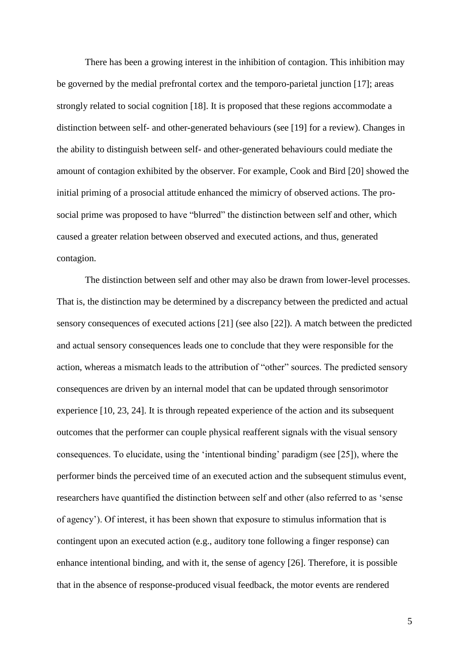There has been a growing interest in the inhibition of contagion. This inhibition may be governed by the medial prefrontal cortex and the temporo-parietal junction [17]; areas strongly related to social cognition [18]. It is proposed that these regions accommodate a distinction between self- and other-generated behaviours (see [19] for a review). Changes in the ability to distinguish between self- and other-generated behaviours could mediate the amount of contagion exhibited by the observer. For example, Cook and Bird [20] showed the initial priming of a prosocial attitude enhanced the mimicry of observed actions. The prosocial prime was proposed to have "blurred" the distinction between self and other, which caused a greater relation between observed and executed actions, and thus, generated contagion.

The distinction between self and other may also be drawn from lower-level processes. That is, the distinction may be determined by a discrepancy between the predicted and actual sensory consequences of executed actions [21] (see also [22]). A match between the predicted and actual sensory consequences leads one to conclude that they were responsible for the action, whereas a mismatch leads to the attribution of "other" sources. The predicted sensory consequences are driven by an internal model that can be updated through sensorimotor experience [10, 23, 24]. It is through repeated experience of the action and its subsequent outcomes that the performer can couple physical reafferent signals with the visual sensory consequences. To elucidate, using the 'intentional binding' paradigm (see [25]), where the performer binds the perceived time of an executed action and the subsequent stimulus event, researchers have quantified the distinction between self and other (also referred to as 'sense of agency'). Of interest, it has been shown that exposure to stimulus information that is contingent upon an executed action (e.g., auditory tone following a finger response) can enhance intentional binding, and with it, the sense of agency [26]. Therefore, it is possible that in the absence of response-produced visual feedback, the motor events are rendered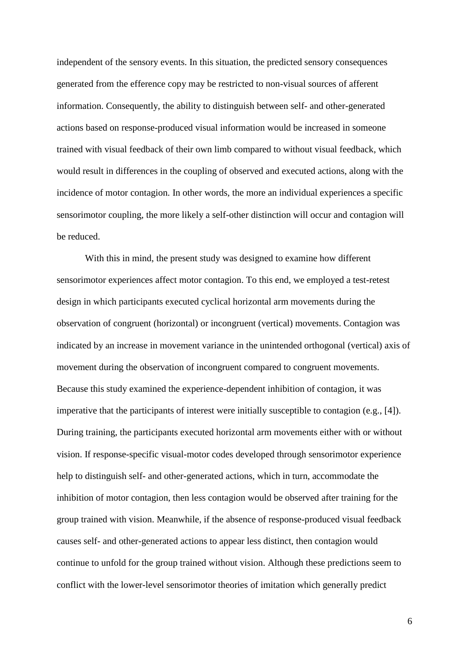independent of the sensory events. In this situation, the predicted sensory consequences generated from the efference copy may be restricted to non-visual sources of afferent information. Consequently, the ability to distinguish between self- and other-generated actions based on response-produced visual information would be increased in someone trained with visual feedback of their own limb compared to without visual feedback, which would result in differences in the coupling of observed and executed actions, along with the incidence of motor contagion. In other words, the more an individual experiences a specific sensorimotor coupling, the more likely a self-other distinction will occur and contagion will be reduced.

With this in mind, the present study was designed to examine how different sensorimotor experiences affect motor contagion. To this end, we employed a test-retest design in which participants executed cyclical horizontal arm movements during the observation of congruent (horizontal) or incongruent (vertical) movements. Contagion was indicated by an increase in movement variance in the unintended orthogonal (vertical) axis of movement during the observation of incongruent compared to congruent movements. Because this study examined the experience-dependent inhibition of contagion, it was imperative that the participants of interest were initially susceptible to contagion (e.g., [4]). During training, the participants executed horizontal arm movements either with or without vision. If response-specific visual-motor codes developed through sensorimotor experience help to distinguish self- and other-generated actions, which in turn, accommodate the inhibition of motor contagion, then less contagion would be observed after training for the group trained with vision. Meanwhile, if the absence of response-produced visual feedback causes self- and other-generated actions to appear less distinct, then contagion would continue to unfold for the group trained without vision. Although these predictions seem to conflict with the lower-level sensorimotor theories of imitation which generally predict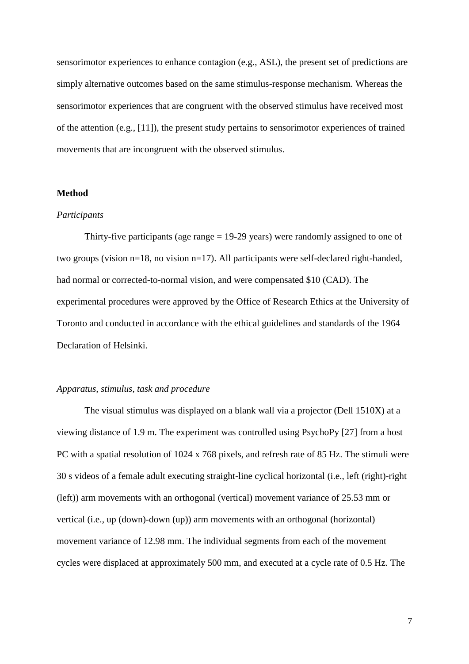sensorimotor experiences to enhance contagion (e.g., ASL), the present set of predictions are simply alternative outcomes based on the same stimulus-response mechanism. Whereas the sensorimotor experiences that are congruent with the observed stimulus have received most of the attention (e.g., [11]), the present study pertains to sensorimotor experiences of trained movements that are incongruent with the observed stimulus.

#### **Method**

#### *Participants*

Thirty-five participants (age range = 19-29 years) were randomly assigned to one of two groups (vision n=18, no vision n=17). All participants were self-declared right-handed, had normal or corrected-to-normal vision, and were compensated \$10 (CAD). The experimental procedures were approved by the Office of Research Ethics at the University of Toronto and conducted in accordance with the ethical guidelines and standards of the 1964 Declaration of Helsinki.

## *Apparatus, stimulus, task and procedure*

The visual stimulus was displayed on a blank wall via a projector (Dell 1510X) at a viewing distance of 1.9 m. The experiment was controlled using PsychoPy [27] from a host PC with a spatial resolution of 1024 x 768 pixels, and refresh rate of 85 Hz. The stimuli were 30 s videos of a female adult executing straight-line cyclical horizontal (i.e., left (right)-right (left)) arm movements with an orthogonal (vertical) movement variance of 25.53 mm or vertical (i.e., up (down)-down (up)) arm movements with an orthogonal (horizontal) movement variance of 12.98 mm. The individual segments from each of the movement cycles were displaced at approximately 500 mm, and executed at a cycle rate of 0.5 Hz. The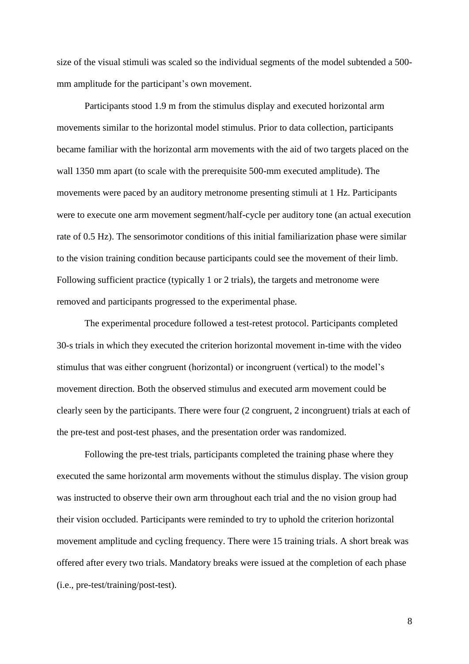size of the visual stimuli was scaled so the individual segments of the model subtended a 500 mm amplitude for the participant's own movement.

Participants stood 1.9 m from the stimulus display and executed horizontal arm movements similar to the horizontal model stimulus. Prior to data collection, participants became familiar with the horizontal arm movements with the aid of two targets placed on the wall 1350 mm apart (to scale with the prerequisite 500-mm executed amplitude). The movements were paced by an auditory metronome presenting stimuli at 1 Hz. Participants were to execute one arm movement segment/half-cycle per auditory tone (an actual execution rate of 0.5 Hz). The sensorimotor conditions of this initial familiarization phase were similar to the vision training condition because participants could see the movement of their limb. Following sufficient practice (typically 1 or 2 trials), the targets and metronome were removed and participants progressed to the experimental phase.

The experimental procedure followed a test-retest protocol. Participants completed 30-s trials in which they executed the criterion horizontal movement in-time with the video stimulus that was either congruent (horizontal) or incongruent (vertical) to the model's movement direction. Both the observed stimulus and executed arm movement could be clearly seen by the participants. There were four (2 congruent, 2 incongruent) trials at each of the pre-test and post-test phases, and the presentation order was randomized.

Following the pre-test trials, participants completed the training phase where they executed the same horizontal arm movements without the stimulus display. The vision group was instructed to observe their own arm throughout each trial and the no vision group had their vision occluded. Participants were reminded to try to uphold the criterion horizontal movement amplitude and cycling frequency. There were 15 training trials. A short break was offered after every two trials. Mandatory breaks were issued at the completion of each phase (i.e., pre-test/training/post-test).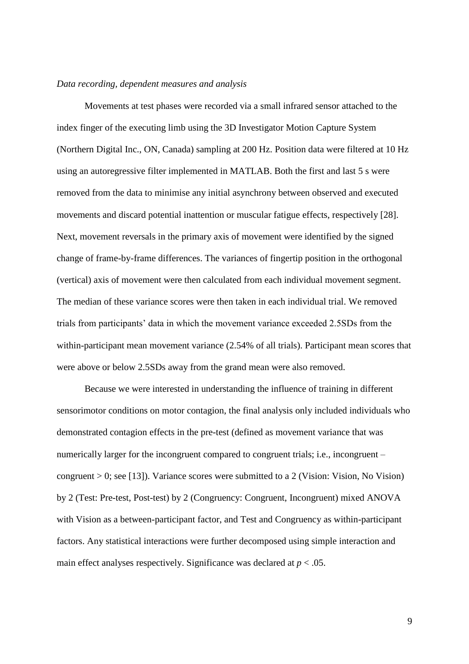#### *Data recording, dependent measures and analysis*

Movements at test phases were recorded via a small infrared sensor attached to the index finger of the executing limb using the 3D Investigator Motion Capture System (Northern Digital Inc., ON, Canada) sampling at 200 Hz. Position data were filtered at 10 Hz using an autoregressive filter implemented in MATLAB. Both the first and last 5 s were removed from the data to minimise any initial asynchrony between observed and executed movements and discard potential inattention or muscular fatigue effects, respectively [28]. Next, movement reversals in the primary axis of movement were identified by the signed change of frame-by-frame differences. The variances of fingertip position in the orthogonal (vertical) axis of movement were then calculated from each individual movement segment. The median of these variance scores were then taken in each individual trial. We removed trials from participants' data in which the movement variance exceeded 2.5SDs from the within-participant mean movement variance (2.54% of all trials). Participant mean scores that were above or below 2.5SDs away from the grand mean were also removed.

Because we were interested in understanding the influence of training in different sensorimotor conditions on motor contagion, the final analysis only included individuals who demonstrated contagion effects in the pre-test (defined as movement variance that was numerically larger for the incongruent compared to congruent trials; i.e., incongruent – congruent  $> 0$ ; see [13]). Variance scores were submitted to a 2 (Vision: Vision, No Vision) by 2 (Test: Pre-test, Post-test) by 2 (Congruency: Congruent, Incongruent) mixed ANOVA with Vision as a between-participant factor, and Test and Congruency as within-participant factors. Any statistical interactions were further decomposed using simple interaction and main effect analyses respectively. Significance was declared at  $p < .05$ .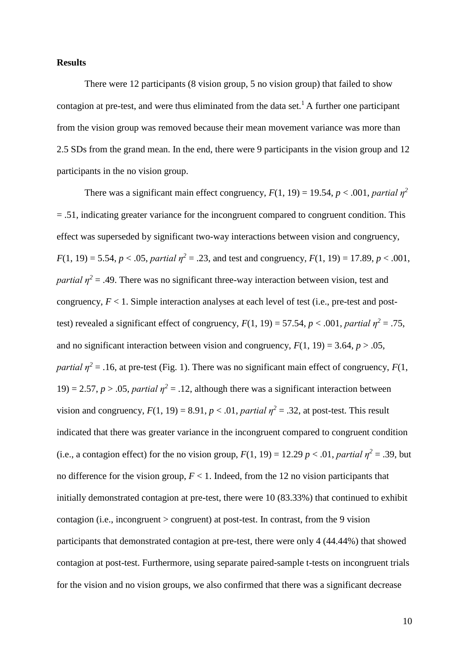#### **Results**

There were 12 participants (8 vision group, 5 no vision group) that failed to show contagion at pre-test, and were thus eliminated from the data set.<sup>1</sup> A further one participant from the vision group was removed because their mean movement variance was more than 2.5 SDs from the grand mean. In the end, there were 9 participants in the vision group and 12 participants in the no vision group.

There was a significant main effect congruency,  $F(1, 19) = 19.54$ ,  $p < .001$ , *partial*  $\eta^2$ = .51, indicating greater variance for the incongruent compared to congruent condition. This effect was superseded by significant two-way interactions between vision and congruency, *F*(1, 19) = 5.54, *p* < .05, *partial*  $\eta^2$  = .23, and test and congruency, *F*(1, 19) = 17.89, *p* < .001, *partial*  $\eta^2$  = .49. There was no significant three-way interaction between vision, test and congruency,  $F < 1$ . Simple interaction analyses at each level of test (i.e., pre-test and posttest) revealed a significant effect of congruency,  $F(1, 19) = 57.54$ ,  $p < .001$ , *partial*  $\eta^2 = .75$ , and no significant interaction between vision and congruency,  $F(1, 19) = 3.64$ ,  $p > .05$ , *partial*  $\eta^2$  = .16, at pre-test (Fig. 1). There was no significant main effect of congruency, *F*(1, 19) = 2.57,  $p > 0.05$ , *partial*  $\eta^2 = 0.12$ , although there was a significant interaction between vision and congruency,  $F(1, 19) = 8.91$ ,  $p < .01$ , *partial*  $\eta^2 = .32$ , at post-test. This result indicated that there was greater variance in the incongruent compared to congruent condition (i.e., a contagion effect) for the no vision group,  $F(1, 19) = 12.29$  *p* < .01, *partial*  $\eta^2 = .39$ , but no difference for the vision group,  $F < 1$ . Indeed, from the 12 no vision participants that initially demonstrated contagion at pre-test, there were 10 (83.33%) that continued to exhibit contagion (i.e., incongruent > congruent) at post-test. In contrast, from the 9 vision participants that demonstrated contagion at pre-test, there were only 4 (44.44%) that showed contagion at post-test. Furthermore, using separate paired-sample t-tests on incongruent trials for the vision and no vision groups, we also confirmed that there was a significant decrease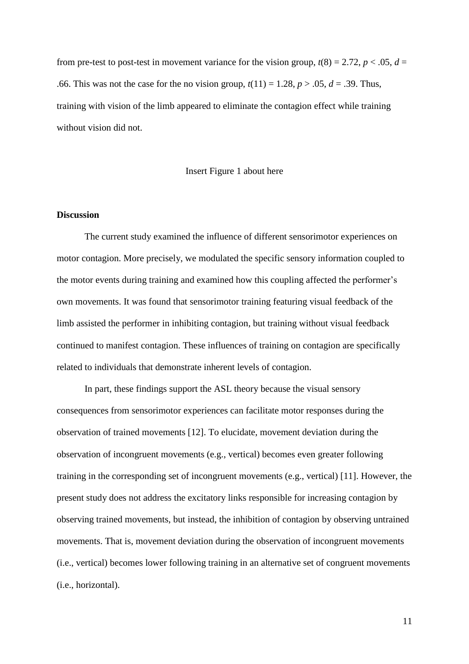from pre-test to post-test in movement variance for the vision group,  $t(8) = 2.72$ ,  $p < .05$ ,  $d =$ .66. This was not the case for the no vision group,  $t(11) = 1.28$ ,  $p > .05$ ,  $d = .39$ . Thus, training with vision of the limb appeared to eliminate the contagion effect while training without vision did not.

#### Insert Figure 1 about here

### **Discussion**

The current study examined the influence of different sensorimotor experiences on motor contagion. More precisely, we modulated the specific sensory information coupled to the motor events during training and examined how this coupling affected the performer's own movements. It was found that sensorimotor training featuring visual feedback of the limb assisted the performer in inhibiting contagion, but training without visual feedback continued to manifest contagion. These influences of training on contagion are specifically related to individuals that demonstrate inherent levels of contagion.

In part, these findings support the ASL theory because the visual sensory consequences from sensorimotor experiences can facilitate motor responses during the observation of trained movements [12]. To elucidate, movement deviation during the observation of incongruent movements (e.g., vertical) becomes even greater following training in the corresponding set of incongruent movements (e.g., vertical) [11]. However, the present study does not address the excitatory links responsible for increasing contagion by observing trained movements, but instead, the inhibition of contagion by observing untrained movements. That is, movement deviation during the observation of incongruent movements (i.e., vertical) becomes lower following training in an alternative set of congruent movements (i.e., horizontal).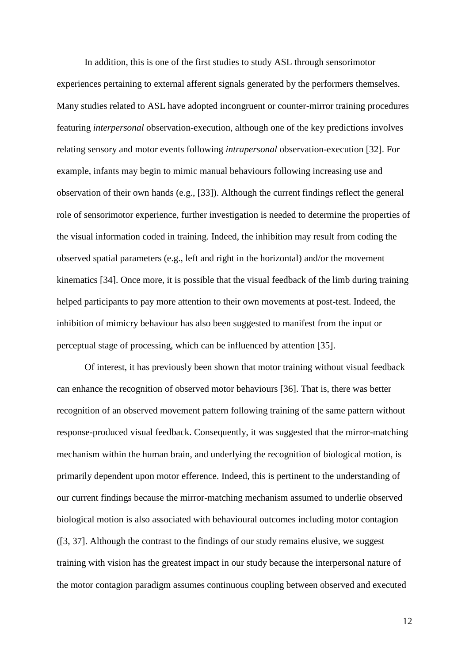In addition, this is one of the first studies to study ASL through sensorimotor experiences pertaining to external afferent signals generated by the performers themselves. Many studies related to ASL have adopted incongruent or counter-mirror training procedures featuring *interpersonal* observation-execution, although one of the key predictions involves relating sensory and motor events following *intrapersonal* observation-execution [32]. For example, infants may begin to mimic manual behaviours following increasing use and observation of their own hands (e.g., [33]). Although the current findings reflect the general role of sensorimotor experience, further investigation is needed to determine the properties of the visual information coded in training. Indeed, the inhibition may result from coding the observed spatial parameters (e.g., left and right in the horizontal) and/or the movement kinematics [34]. Once more, it is possible that the visual feedback of the limb during training helped participants to pay more attention to their own movements at post-test. Indeed, the inhibition of mimicry behaviour has also been suggested to manifest from the input or perceptual stage of processing, which can be influenced by attention [35].

Of interest, it has previously been shown that motor training without visual feedback can enhance the recognition of observed motor behaviours [36]. That is, there was better recognition of an observed movement pattern following training of the same pattern without response-produced visual feedback. Consequently, it was suggested that the mirror-matching mechanism within the human brain, and underlying the recognition of biological motion, is primarily dependent upon motor efference. Indeed, this is pertinent to the understanding of our current findings because the mirror-matching mechanism assumed to underlie observed biological motion is also associated with behavioural outcomes including motor contagion ([3, 37]. Although the contrast to the findings of our study remains elusive, we suggest training with vision has the greatest impact in our study because the interpersonal nature of the motor contagion paradigm assumes continuous coupling between observed and executed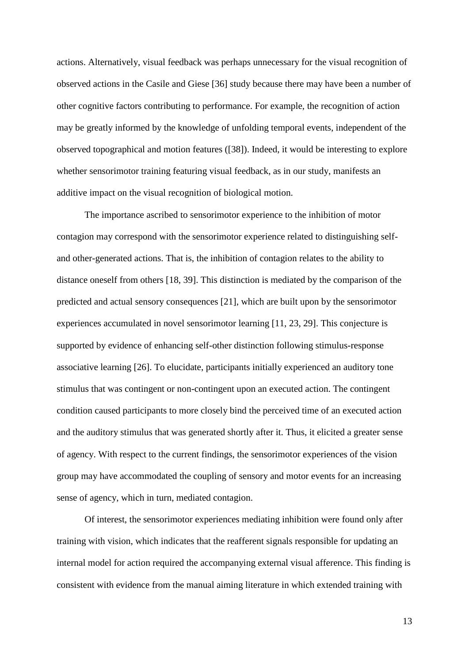actions. Alternatively, visual feedback was perhaps unnecessary for the visual recognition of observed actions in the Casile and Giese [36] study because there may have been a number of other cognitive factors contributing to performance. For example, the recognition of action may be greatly informed by the knowledge of unfolding temporal events, independent of the observed topographical and motion features ([38]). Indeed, it would be interesting to explore whether sensorimotor training featuring visual feedback, as in our study, manifests an additive impact on the visual recognition of biological motion.

The importance ascribed to sensorimotor experience to the inhibition of motor contagion may correspond with the sensorimotor experience related to distinguishing selfand other-generated actions. That is, the inhibition of contagion relates to the ability to distance oneself from others [18, 39]. This distinction is mediated by the comparison of the predicted and actual sensory consequences [21], which are built upon by the sensorimotor experiences accumulated in novel sensorimotor learning [11, 23, 29]. This conjecture is supported by evidence of enhancing self-other distinction following stimulus-response associative learning [26]. To elucidate, participants initially experienced an auditory tone stimulus that was contingent or non-contingent upon an executed action. The contingent condition caused participants to more closely bind the perceived time of an executed action and the auditory stimulus that was generated shortly after it. Thus, it elicited a greater sense of agency. With respect to the current findings, the sensorimotor experiences of the vision group may have accommodated the coupling of sensory and motor events for an increasing sense of agency, which in turn, mediated contagion.

Of interest, the sensorimotor experiences mediating inhibition were found only after training with vision, which indicates that the reafferent signals responsible for updating an internal model for action required the accompanying external visual afference. This finding is consistent with evidence from the manual aiming literature in which extended training with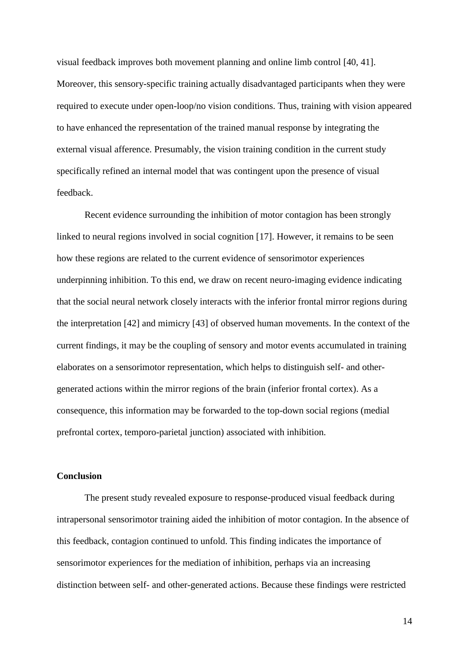visual feedback improves both movement planning and online limb control [40, 41]. Moreover, this sensory-specific training actually disadvantaged participants when they were required to execute under open-loop/no vision conditions. Thus, training with vision appeared to have enhanced the representation of the trained manual response by integrating the external visual afference. Presumably, the vision training condition in the current study specifically refined an internal model that was contingent upon the presence of visual feedback.

Recent evidence surrounding the inhibition of motor contagion has been strongly linked to neural regions involved in social cognition [17]. However, it remains to be seen how these regions are related to the current evidence of sensorimotor experiences underpinning inhibition. To this end, we draw on recent neuro-imaging evidence indicating that the social neural network closely interacts with the inferior frontal mirror regions during the interpretation [42] and mimicry [43] of observed human movements. In the context of the current findings, it may be the coupling of sensory and motor events accumulated in training elaborates on a sensorimotor representation, which helps to distinguish self- and othergenerated actions within the mirror regions of the brain (inferior frontal cortex). As a consequence, this information may be forwarded to the top-down social regions (medial prefrontal cortex, temporo-parietal junction) associated with inhibition.

## **Conclusion**

The present study revealed exposure to response-produced visual feedback during intrapersonal sensorimotor training aided the inhibition of motor contagion. In the absence of this feedback, contagion continued to unfold. This finding indicates the importance of sensorimotor experiences for the mediation of inhibition, perhaps via an increasing distinction between self- and other-generated actions. Because these findings were restricted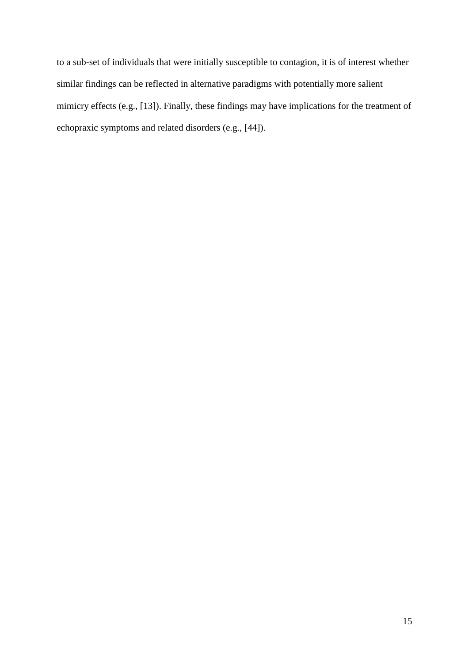to a sub-set of individuals that were initially susceptible to contagion, it is of interest whether similar findings can be reflected in alternative paradigms with potentially more salient mimicry effects (e.g., [13]). Finally, these findings may have implications for the treatment of echopraxic symptoms and related disorders (e.g., [44]).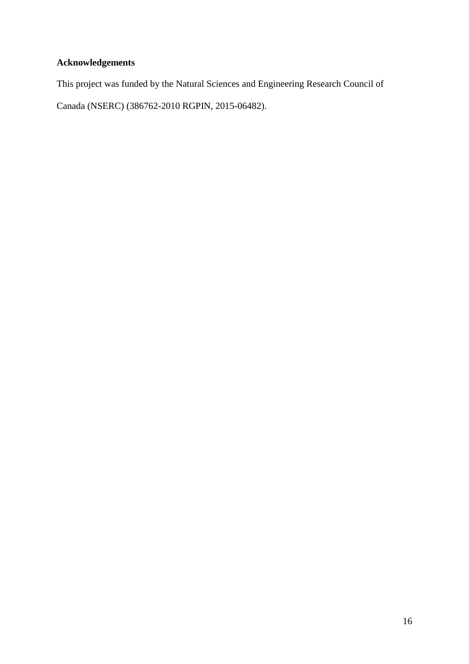# **Acknowledgements**

This project was funded by the Natural Sciences and Engineering Research Council of

Canada (NSERC) (386762-2010 RGPIN, 2015-06482).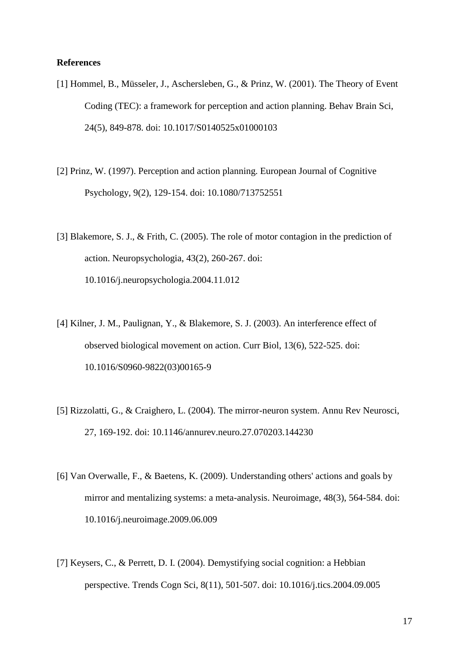#### **References**

- [1] Hommel, B., Müsseler, J., Aschersleben, G., & Prinz, W. (2001). The Theory of Event Coding (TEC): a framework for perception and action planning. Behav Brain Sci, 24(5), 849-878. doi: 10.1017/S0140525x01000103
- [2] Prinz, W. (1997). Perception and action planning. European Journal of Cognitive Psychology, 9(2), 129-154. doi: 10.1080/713752551
- [3] Blakemore, S. J., & Frith, C. (2005). The role of motor contagion in the prediction of action. Neuropsychologia, 43(2), 260-267. doi: 10.1016/j.neuropsychologia.2004.11.012
- [4] Kilner, J. M., Paulignan, Y., & Blakemore, S. J. (2003). An interference effect of observed biological movement on action. Curr Biol, 13(6), 522-525. doi: 10.1016/S0960-9822(03)00165-9
- [5] Rizzolatti, G., & Craighero, L. (2004). The mirror-neuron system. Annu Rev Neurosci, 27, 169-192. doi: 10.1146/annurev.neuro.27.070203.144230
- [6] Van Overwalle, F., & Baetens, K. (2009). Understanding others' actions and goals by mirror and mentalizing systems: a meta-analysis. Neuroimage, 48(3), 564-584. doi: 10.1016/j.neuroimage.2009.06.009
- [7] Keysers, C., & Perrett, D. I. (2004). Demystifying social cognition: a Hebbian perspective. Trends Cogn Sci, 8(11), 501-507. doi: 10.1016/j.tics.2004.09.005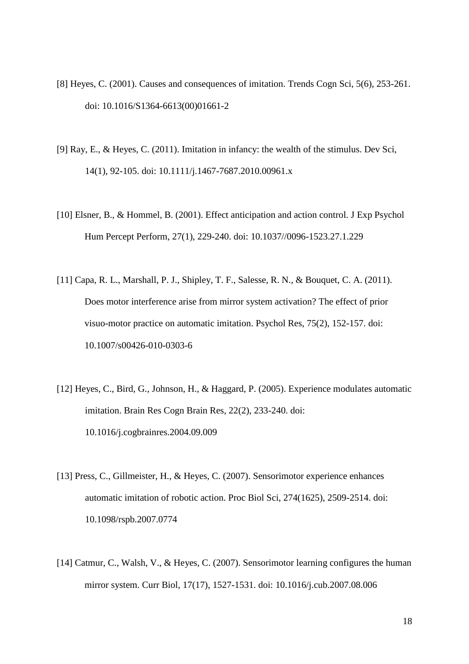- [8] Heyes, C. (2001). Causes and consequences of imitation. Trends Cogn Sci, 5(6), 253-261. doi: 10.1016/S1364-6613(00)01661-2
- [9] Ray, E., & Heyes, C. (2011). Imitation in infancy: the wealth of the stimulus. Dev Sci, 14(1), 92-105. doi: 10.1111/j.1467-7687.2010.00961.x
- [10] Elsner, B., & Hommel, B. (2001). Effect anticipation and action control. J Exp Psychol Hum Percept Perform, 27(1), 229-240. doi: 10.1037//0096-1523.27.1.229
- [11] Capa, R. L., Marshall, P. J., Shipley, T. F., Salesse, R. N., & Bouquet, C. A. (2011). Does motor interference arise from mirror system activation? The effect of prior visuo-motor practice on automatic imitation. Psychol Res, 75(2), 152-157. doi: 10.1007/s00426-010-0303-6
- [12] Heyes, C., Bird, G., Johnson, H., & Haggard, P. (2005). Experience modulates automatic imitation. Brain Res Cogn Brain Res, 22(2), 233-240. doi: 10.1016/j.cogbrainres.2004.09.009
- [13] Press, C., Gillmeister, H., & Heyes, C. (2007). Sensorimotor experience enhances automatic imitation of robotic action. Proc Biol Sci, 274(1625), 2509-2514. doi: 10.1098/rspb.2007.0774
- [14] Catmur, C., Walsh, V., & Heyes, C. (2007). Sensorimotor learning configures the human mirror system. Curr Biol, 17(17), 1527-1531. doi: 10.1016/j.cub.2007.08.006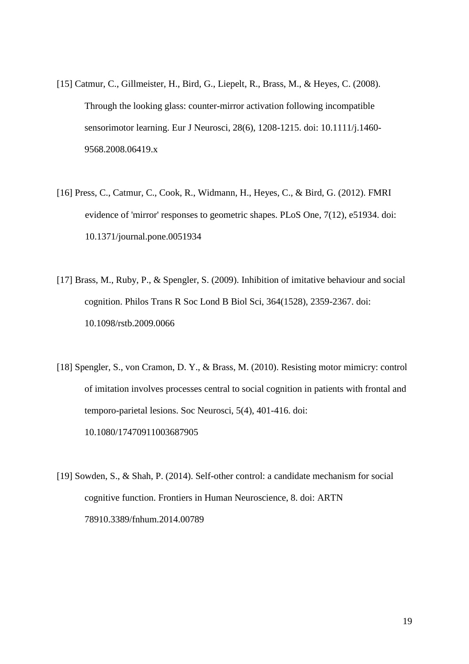- [15] Catmur, C., Gillmeister, H., Bird, G., Liepelt, R., Brass, M., & Heyes, C. (2008). Through the looking glass: counter-mirror activation following incompatible sensorimotor learning. Eur J Neurosci, 28(6), 1208-1215. doi: 10.1111/j.1460- 9568.2008.06419.x
- [16] Press, C., Catmur, C., Cook, R., Widmann, H., Heyes, C., & Bird, G. (2012). FMRI evidence of 'mirror' responses to geometric shapes. PLoS One, 7(12), e51934. doi: 10.1371/journal.pone.0051934
- [17] Brass, M., Ruby, P., & Spengler, S. (2009). Inhibition of imitative behaviour and social cognition. Philos Trans R Soc Lond B Biol Sci, 364(1528), 2359-2367. doi: 10.1098/rstb.2009.0066
- [18] Spengler, S., von Cramon, D. Y., & Brass, M. (2010). Resisting motor mimicry: control of imitation involves processes central to social cognition in patients with frontal and temporo-parietal lesions. Soc Neurosci, 5(4), 401-416. doi: 10.1080/17470911003687905
- [19] Sowden, S., & Shah, P. (2014). Self-other control: a candidate mechanism for social cognitive function. Frontiers in Human Neuroscience, 8. doi: ARTN 78910.3389/fnhum.2014.00789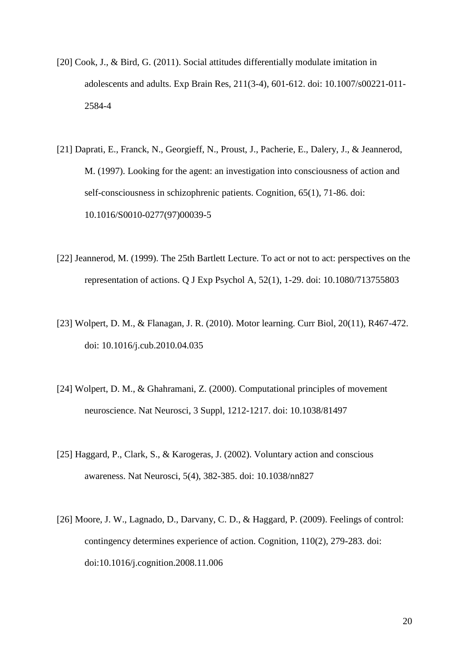- [20] Cook, J., & Bird, G. (2011). Social attitudes differentially modulate imitation in adolescents and adults. Exp Brain Res, 211(3-4), 601-612. doi: 10.1007/s00221-011- 2584-4
- [21] Daprati, E., Franck, N., Georgieff, N., Proust, J., Pacherie, E., Dalery, J., & Jeannerod, M. (1997). Looking for the agent: an investigation into consciousness of action and self-consciousness in schizophrenic patients. Cognition, 65(1), 71-86. doi: 10.1016/S0010-0277(97)00039-5
- [22] Jeannerod, M. (1999). The 25th Bartlett Lecture. To act or not to act: perspectives on the representation of actions. Q J Exp Psychol A, 52(1), 1-29. doi: 10.1080/713755803
- [23] Wolpert, D. M., & Flanagan, J. R. (2010). Motor learning. Curr Biol, 20(11), R467-472. doi: 10.1016/j.cub.2010.04.035
- [24] Wolpert, D. M., & Ghahramani, Z. (2000). Computational principles of movement neuroscience. Nat Neurosci, 3 Suppl, 1212-1217. doi: 10.1038/81497
- [25] Haggard, P., Clark, S., & Karogeras, J. (2002). Voluntary action and conscious awareness. Nat Neurosci, 5(4), 382-385. doi: 10.1038/nn827
- [26] Moore, J. W., Lagnado, D., Darvany, C. D., & Haggard, P. (2009). Feelings of control: contingency determines experience of action. Cognition, 110(2), 279-283. doi: [doi:10.1016/j.cognition.2008.11.006](http://dx.doi.org/10.1016/j.cognition.2008.11.006)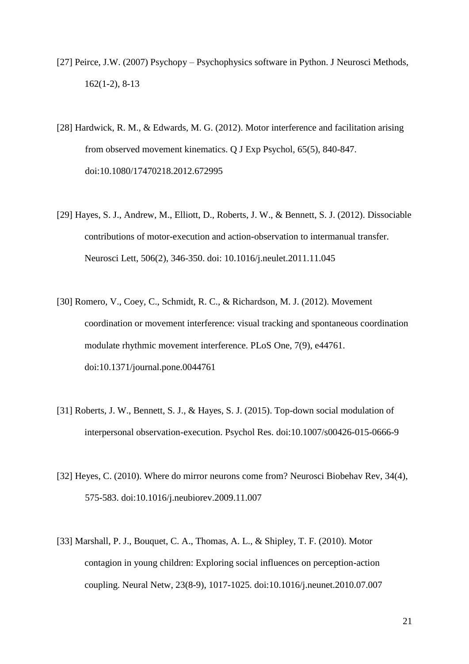- [27] Peirce, J.W. (2007) Psychopy Psychophysics software in Python. J Neurosci Methods, 162(1-2), 8-13
- [28] Hardwick, R. M., & Edwards, M. G. (2012). Motor interference and facilitation arising from observed movement kinematics. Q J Exp Psychol, 65(5), 840-847. doi:10.1080/17470218.2012.672995
- [29] Hayes, S. J., Andrew, M., Elliott, D., Roberts, J. W., & Bennett, S. J. (2012). Dissociable contributions of motor-execution and action-observation to intermanual transfer. Neurosci Lett, 506(2), 346-350. doi: 10.1016/j.neulet.2011.11.045
- [30] Romero, V., Coey, C., Schmidt, R. C., & Richardson, M. J. (2012). Movement coordination or movement interference: visual tracking and spontaneous coordination modulate rhythmic movement interference. PLoS One, 7(9), e44761. doi:10.1371/journal.pone.0044761
- [31] Roberts, J. W., Bennett, S. J., & Hayes, S. J. (2015). Top-down social modulation of interpersonal observation-execution. Psychol Res. doi:10.1007/s00426-015-0666-9
- [32] Heyes, C. (2010). Where do mirror neurons come from? Neurosci Biobehav Rev, 34(4), 575-583. doi:10.1016/j.neubiorev.2009.11.007
- [33] Marshall, P. J., Bouquet, C. A., Thomas, A. L., & Shipley, T. F. (2010). Motor contagion in young children: Exploring social influences on perception-action coupling. Neural Netw, 23(8-9), 1017-1025. doi:10.1016/j.neunet.2010.07.007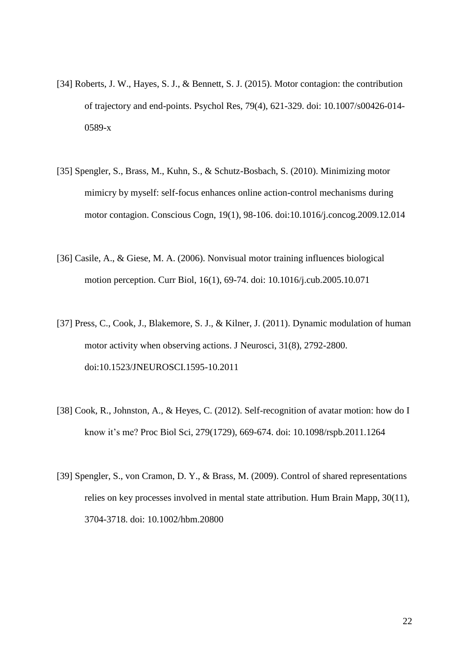- [34] Roberts, J. W., Hayes, S. J., & Bennett, S. J. (2015). Motor contagion: the contribution of trajectory and end-points. Psychol Res, 79(4), 621-329. doi: 10.1007/s00426-014- 0589-x
- [35] Spengler, S., Brass, M., Kuhn, S., & Schutz-Bosbach, S. (2010). Minimizing motor mimicry by myself: self-focus enhances online action-control mechanisms during motor contagion. Conscious Cogn, 19(1), 98-106. doi:10.1016/j.concog.2009.12.014
- [36] Casile, A., & Giese, M. A. (2006). Nonvisual motor training influences biological motion perception. Curr Biol, 16(1), 69-74. doi: 10.1016/j.cub.2005.10.071
- [37] Press, C., Cook, J., Blakemore, S. J., & Kilner, J. (2011). Dynamic modulation of human motor activity when observing actions. J Neurosci, 31(8), 2792-2800. doi:10.1523/JNEUROSCI.1595-10.2011
- [38] Cook, R., Johnston, A., & Heyes, C. (2012). Self-recognition of avatar motion: how do I know it's me? Proc Biol Sci, 279(1729), 669-674. doi: 10.1098/rspb.2011.1264
- [39] Spengler, S., von Cramon, D. Y., & Brass, M. (2009). Control of shared representations relies on key processes involved in mental state attribution. Hum Brain Mapp, 30(11), 3704-3718. doi: 10.1002/hbm.20800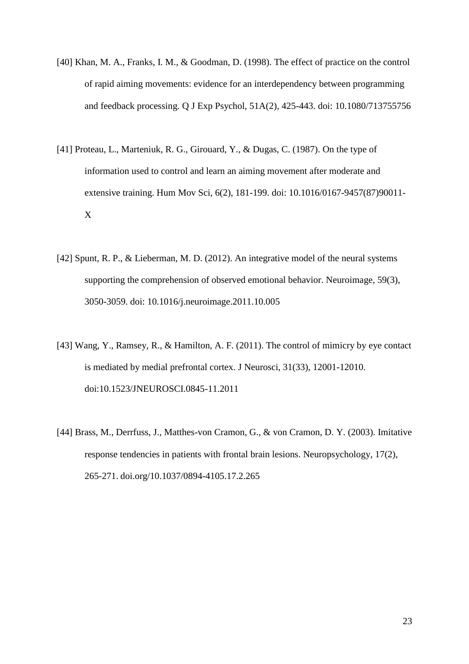- [40] Khan, M. A., Franks, I. M., & Goodman, D. (1998). The effect of practice on the control of rapid aiming movements: evidence for an interdependency between programming and feedback processing. Q J Exp Psychol, 51A(2), 425-443. doi: 10.1080/713755756
- [41] Proteau, L., Marteniuk, R. G., Girouard, Y., & Dugas, C. (1987). On the type of information used to control and learn an aiming movement after moderate and extensive training. Hum Mov Sci, 6(2), 181-199. doi: [10.1016/0167-9457\(87\)90011-](http://dx.doi.org/10.1016/0167-9457(87)90011-X) [X](http://dx.doi.org/10.1016/0167-9457(87)90011-X)
- [42] Spunt, R. P., & Lieberman, M. D. (2012). An integrative model of the neural systems supporting the comprehension of observed emotional behavior. Neuroimage, 59(3), 3050-3059. doi: 10.1016/j.neuroimage.2011.10.005
- [43] Wang, Y., Ramsey, R., & Hamilton, A. F. (2011). The control of mimicry by eye contact is mediated by medial prefrontal cortex. J Neurosci, 31(33), 12001-12010. doi:10.1523/JNEUROSCI.0845-11.2011
- [44] Brass, M., Derrfuss, J., Matthes-von Cramon, G., & von Cramon, D. Y. (2003). Imitative response tendencies in patients with frontal brain lesions. Neuropsychology, 17(2), 265-271. doi.org/10.1037/0894-4105.17.2.265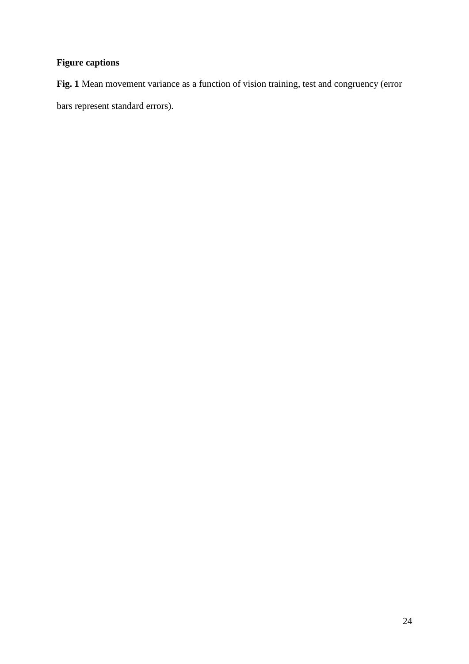# **Figure captions**

**Fig. 1** Mean movement variance as a function of vision training, test and congruency (error bars represent standard errors).